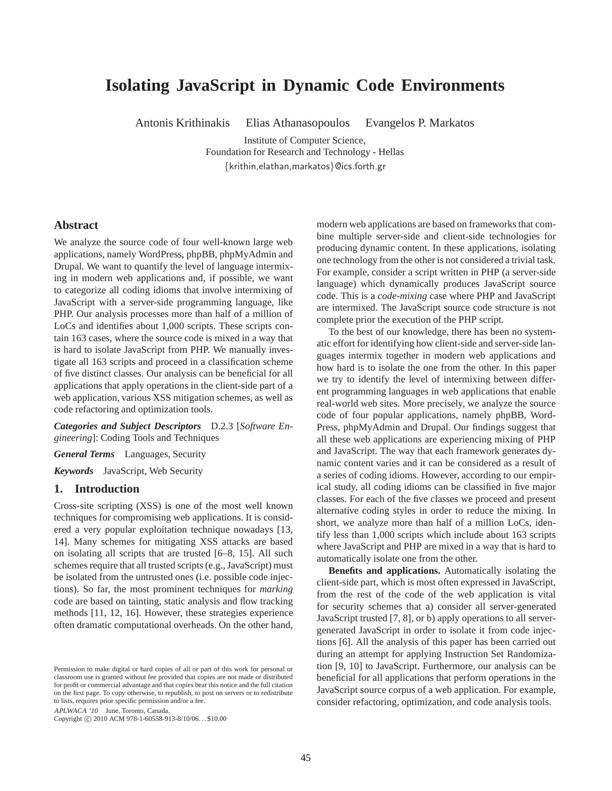# **Isolating JavaScript in Dynamic Code Environments**

Antonis Krithinakis Elias Athanasopoulos Evangelos P. Markatos

Institute of Computer Science, Foundation for Research and Technology - Hellas {krithin,elathan,markatos}@ics.forth.gr

## **Abstract**

We analyze the source code of four well-known large web applications, namely WordPress, phpBB, phpMyAdmin and Drupal. We want to quantify the level of language intermixing in modern web applications and, if possible, we want to categorize all coding idioms that involve intermixing of JavaScript with a server-side programming language, like PHP. Our analysis processes more than half of a million of LoCs and identifies about 1,000 scripts. These scripts contain 163 cases, where the source code is mixed in a way that is hard to isolate JavaScript from PHP. We manually investigate all 163 scripts and proceed in a classification scheme of five distinct classes. Our analysis can be beneficial for all applications that apply operations in the client-side part of a web application, various XSS mitigation schemes, as well as code refactoring and optimization tools.

*Categories and Subject Descriptors* D.2.3 [*Software Engineering*]: Coding Tools and Techniques

*General Terms* Languages, Security

*Keywords* JavaScript, Web Security

## **1. Introduction**

Cross-site scripting (XSS) is one of the most well known techniques for compromising web applications. It is considered a very popular exploitation technique nowadays [13, 14]. Many schemes for mitigating XSS attacks are based on isolating all scripts that are trusted [6–8, 15]. All such schemes require that all trusted scripts (e.g., JavaScript) must be isolated from the untrusted ones (i.e. possible code injections). So far, the most prominent techniques for *marking* code are based on tainting, static analysis and flow tracking methods [11, 12, 16]. However, these strategies experience often dramatic computational overheads. On the other hand,

APLWACA '10 June, Toronto, Canada.

Copyright © 2010 ACM 978-1-60558-913-8/10/06... \$10.00

modern web applications are based on frameworks that combine multiple server-side and client-side technologies for producing dynamic content. In these applications, isolating one technology from the other is not considered a trivial task. For example, consider a script written in PHP (a server-side language) which dynamically produces JavaScript source code. This is a *code-mixing* case where PHP and JavaScript are intermixed. The JavaScript source code structure is not complete prior the execution of the PHP script.

To the best of our knowledge, there has been no systematic effort for identifying how client-side and server-side languages intermix together in modern web applications and how hard is to isolate the one from the other. In this paper we try to identify the level of intermixing between different programming languages in web applications that enable real-world web sites. More precisely, we analyze the source code of four popular applications, namely phpBB, Word-Press, phpMyAdmin and Drupal. Our findings suggest that all these web applications are experiencing mixing of PHP and JavaScript. The way that each framework generates dynamic content varies and it can be considered as a result of a series of coding idioms. However, according to our empirical study, all coding idioms can be classified in five major classes. For each of the five classes we proceed and present alternative coding styles in order to reduce the mixing. In short, we analyze more than half of a million LoCs, identify less than 1,000 scripts which include about 163 scripts where JavaScript and PHP are mixed in a way that is hard to automatically isolate one from the other.

**Benefits and applications.** Automatically isolating the client-side part, which is most often expressed in JavaScript, from the rest of the code of the web application is vital for security schemes that a) consider all server-generated JavaScript trusted [7, 8], or b) apply operations to all servergenerated JavaScript in order to isolate it from code injections [6]. All the analysis of this paper has been carried out during an attempt for applying Instruction Set Randomization [9, 10] to JavaScript. Furthermore, our analysis can be beneficial for all applications that perform operations in the JavaScript source corpus of a web application. For example, consider refactoring, optimization, and code analysis tools.

Permission to make digital or hard copies of all or part of this work for personal or classroom use is granted without fee provided that copies are not made or distributed for profit or commercial advantage and that copies bear this notice and the full citation on the first page. To copy otherwise, to republish, to post on servers or to redistribute to lists, requires prior specific permission and/or a fee.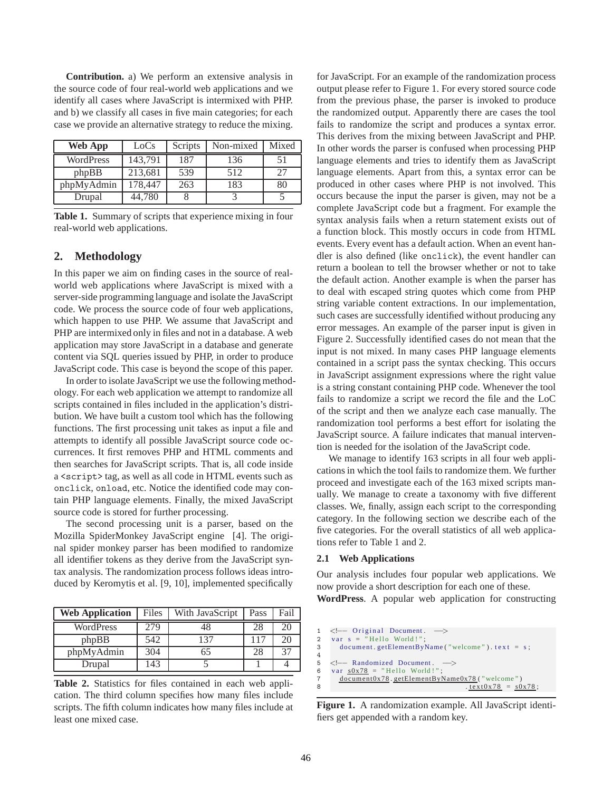**Contribution.** a) We perform an extensive analysis in the source code of four real-world web applications and we identify all cases where JavaScript is intermixed with PHP. and b) we classify all cases in five main categories; for each case we provide an alternative strategy to reduce the mixing.

| <b>Web App</b> | LoCs    | Scripts | Non-mixed | Mixed |
|----------------|---------|---------|-----------|-------|
| WordPress      | 143,791 | 187     | 136       |       |
| phpBB          | 213,681 | 539     | 512       | 27    |
| phpMyAdmin     | 178,447 | 263     | 183       | 80    |
| Drupal         | 44,780  |         |           |       |

**Table 1.** Summary of scripts that experience mixing in four real-world web applications.

### **2. Methodology**

In this paper we aim on finding cases in the source of realworld web applications where JavaScript is mixed with a server-side programming language and isolate the JavaScript code. We process the source code of four web applications, which happen to use PHP. We assume that JavaScript and PHP are intermixed only in files and not in a database. A web application may store JavaScript in a database and generate content via SQL queries issued by PHP, in order to produce JavaScript code. This case is beyond the scope of this paper.

In order to isolate JavaScript we use the following methodology. For each web application we attempt to randomize all scripts contained in files included in the application's distribution. We have built a custom tool which has the following functions. The first processing unit takes as input a file and attempts to identify all possible JavaScript source code occurrences. It first removes PHP and HTML comments and then searches for JavaScript scripts. That is, all code inside a <script> tag, as well as all code in HTML events such as onclick, onload, etc. Notice the identified code may contain PHP language elements. Finally, the mixed JavaScript source code is stored for further processing.

The second processing unit is a parser, based on the Mozilla SpiderMonkey JavaScript engine [4]. The original spider monkey parser has been modified to randomize all identifier tokens as they derive from the JavaScript syntax analysis. The randomization process follows ideas introduced by Keromytis et al. [9, 10], implemented specifically

| <b>Web Application</b> | Files | With JavaScript | Pass | Fail |
|------------------------|-------|-----------------|------|------|
| WordPress              | 279   | 48              | 28   | 20   |
| phpBB                  | 542   | 137             | 117  | 20   |
| phpMyAdmin             | 304   | 65              | 28   |      |
| Drupal                 | 143   |                 |      |      |

**Table 2.** Statistics for files contained in each web application. The third column specifies how many files include scripts. The fifth column indicates how many files include at least one mixed case.

for JavaScript. For an example of the randomization process output please refer to Figure 1. For every stored source code from the previous phase, the parser is invoked to produce the randomized output. Apparently there are cases the tool fails to randomize the script and produces a syntax error. This derives from the mixing between JavaScript and PHP. In other words the parser is confused when processing PHP language elements and tries to identify them as JavaScript language elements. Apart from this, a syntax error can be produced in other cases where PHP is not involved. This occurs because the input the parser is given, may not be a complete JavaScript code but a fragment. For example the syntax analysis fails when a return statement exists out of a function block. This mostly occurs in code from HTML events. Every event has a default action. When an event handler is also defined (like onclick), the event handler can return a boolean to tell the browser whether or not to take the default action. Another example is when the parser has to deal with escaped string quotes which come from PHP string variable content extractions. In our implementation, such cases are successfully identified without producing any error messages. An example of the parser input is given in Figure 2. Successfully identified cases do not mean that the input is not mixed. In many cases PHP language elements contained in a script pass the syntax checking. This occurs in JavaScript assignment expressions where the right value is a string constant containing PHP code. Whenever the tool fails to randomize a script we record the file and the LoC of the script and then we analyze each case manually. The randomization tool performs a best effort for isolating the JavaScript source. A failure indicates that manual intervention is needed for the isolation of the JavaScript code.

We manage to identify 163 scripts in all four web applications in which the tool fails to randomize them. We further proceed and investigate each of the 163 mixed scripts manually. We manage to create a taxonomy with five different classes. We, finally, assign each script to the corresponding category. In the following section we describe each of the five categories. For the overall statistics of all web applications refer to Table 1 and 2.

### **2.1 Web Applications**

Our analysis includes four popular web applications. We now provide a short description for each one of these.

**WordPress**. A popular web application for constructing

```
1 <!-- Original Document.
2 var s = "Hello World!"3 document.getElementByName ("welcome").text = s;
4
5 <!−− Randomized Document . −−>
6 var s0x78 = "Hello World!"
\frac{1}{8} document0x78. getElementByName0x78 ("welcome")
                                       . \text{text0x78} = \text{s0x78};
```
**Figure 1.** A randomization example. All JavaScript identifiers get appended with a random key.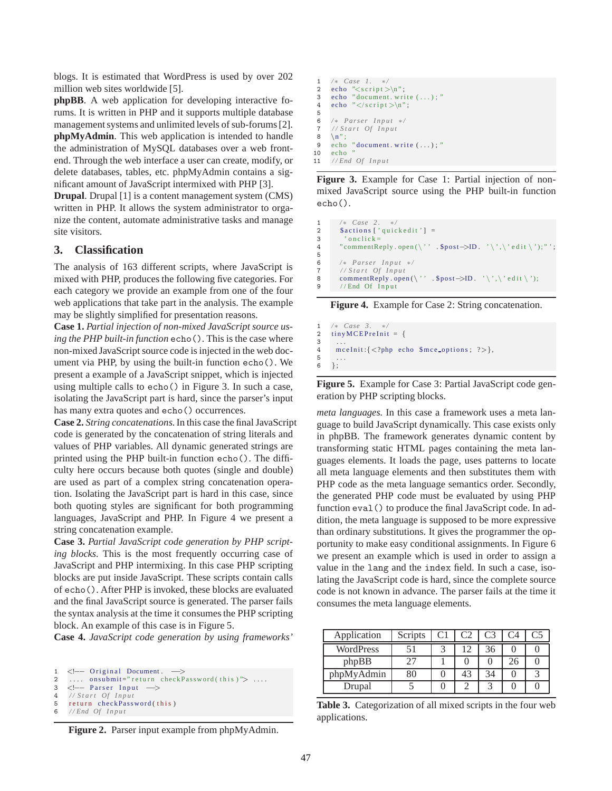blogs. It is estimated that WordPress is used by over 202 million web sites worldwide [5].

**phpBB**. A web application for developing interactive forums. It is written in PHP and it supports multiple database management systems and unlimited levels of sub-forums [2]. **phpMyAdmin**. This web application is intended to handle the administration of MySQL databases over a web frontend. Through the web interface a user can create, modify, or delete databases, tables, etc. phpMyAdmin contains a significant amount of JavaScript intermixed with PHP [3].

**Drupal**. Drupal [1] is a content management system (CMS) written in PHP. It allows the system administrator to organize the content, automate administrative tasks and manage site visitors.

### **3. Classification**

The analysis of 163 different scripts, where JavaScript is mixed with PHP, produces the following five categories. For each category we provide an example from one of the four web applications that take part in the analysis. The example may be slightly simplified for presentation reasons.

**Case 1.** *Partial injection of non-mixed JavaScript source using the PHP built-in function* echo()*.* This is the case where non-mixed JavaScript source code is injected in the web document via PHP, by using the built-in function echo(). We present a example of a JavaScript snippet, which is injected using multiple calls to echo() in Figure 3. In such a case, isolating the JavaScript part is hard, since the parser's input has many extra quotes and echo() occurrences.

**Case 2.** *String concatenations.*In this case the final JavaScript code is generated by the concatenation of string literals and values of PHP variables. All dynamic generated strings are printed using the PHP built-in function echo(). The difficulty here occurs because both quotes (single and double) are used as part of a complex string concatenation operation. Isolating the JavaScript part is hard in this case, since both quoting styles are significant for both programming languages, JavaScript and PHP. In Figure 4 we present a string concatenation example.

**Case 3.** *Partial JavaScript code generation by PHP scripting blocks.* This is the most frequently occurring case of JavaScript and PHP intermixing. In this case PHP scripting blocks are put inside JavaScript. These scripts contain calls of echo(). After PHP is invoked, these blocks are evaluated and the final JavaScript source is generated. The parser fails the syntax analysis at the time it consumes the PHP scripting block. An example of this case is in Figure 5.

**Case 4.** *JavaScript code generation by using frameworks'*

```
1 <!--- Original Document. ---><br>2 onsubmit="return_checkP
           onsubmit="return checkPassword (this y > ...
```

```
3 \lt!! - Parser Input \Rightarrow 4 // Start Of Input
```

```
4 / / S t a r t Of I n p u t
5 return checkPassword (this)
```

```
6 / / End Of I n p u t
```
**Figure 2.** Parser input example from phpMyAdmin.

```
1 /∗ Case 1 . ∗/
2 echo "\langles c ript \rangle\n";<br>3 echo "document. wri
       echo " document. write (\ldots);"
 4 echo "\lt/s cript\gt\ln";
 5
 6 /∗ P ar s er I n p u t ∗/
\begin{array}{ccc} 7 & // Start & Of & Input \\ 8 & \n\end{array}\begin{array}{c} 8 \\ 9 \end{array} echo
9 echo " document. write (...);"<br>10 echo "
       echo
11 / / End Of I n p u t
```
**Figure 3.** Example for Case 1: Partial injection of nonmixed JavaScript source using the PHP built-in function echo().

```
1 /∗ Case 2 . ∗/
2 $ \text{actions} [ ' \text{quickedit} ' ] =3 ' on c l i c k =
4 " commentReply . open (\'' . $post->ID . '\',\'edit \');"';
5
6 /∗ P ar s er I n p u t ∗/
7 // Start Of Input<br>8 commentRenly one
8 commentReply . open (\'' . $post ->ID . '\', \' e dit \');
       //End Of Input
```
**Figure 4.** Example for Case 2: String concatenation.

1 */*∗ *Case 3 .* ∗*/* 2  $tiny MC E PreInit = \{$  $3 \ldots$ 4 m c e Init :  $\{ \langle 2php \rangle$  echo  $\$  m c e o ptions ;  $\langle 2 \rangle \}$ , 5 . . . 6 };

**Figure 5.** Example for Case 3: Partial JavaScript code generation by PHP scripting blocks.

*meta languages.* In this case a framework uses a meta language to build JavaScript dynamically. This case exists only in phpBB. The framework generates dynamic content by transforming static HTML pages containing the meta languages elements. It loads the page, uses patterns to locate all meta language elements and then substitutes them with PHP code as the meta language semantics order. Secondly, the generated PHP code must be evaluated by using PHP function eval() to produce the final JavaScript code. In addition, the meta language is supposed to be more expressive than ordinary substitutions. It gives the programmer the opportunity to make easy conditional assignments. In Figure 6 we present an example which is used in order to assign a value in the lang and the index field. In such a case, isolating the JavaScript code is hard, since the complete source code is not known in advance. The parser fails at the time it consumes the meta language elements.

| Application | Scripts |    | C3 |  |
|-------------|---------|----|----|--|
| WordPress   |         |    |    |  |
| phpBB       | 27      |    |    |  |
| phpMyAdmin  | 80      | 43 | 34 |  |
| Drupal      |         |    |    |  |

**Table 3.** Categorization of all mixed scripts in the four web applications.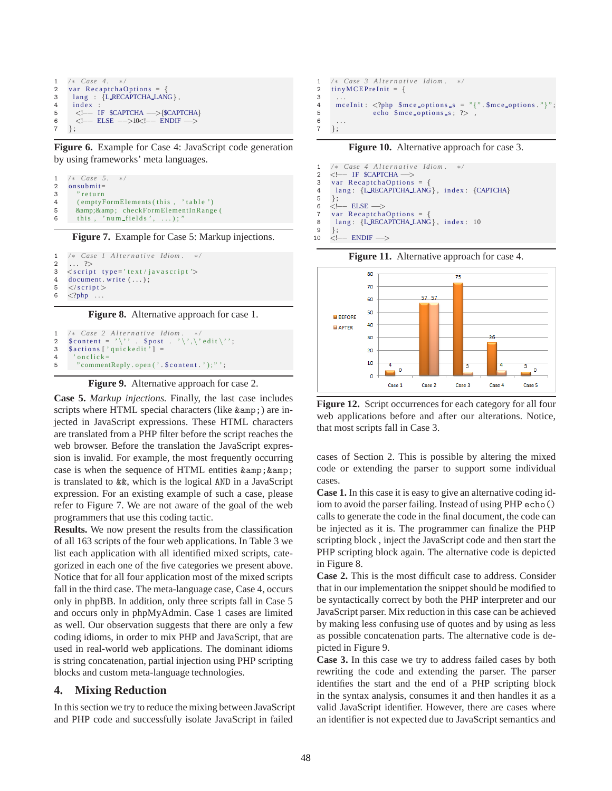```
1 /∗ Case 4 . ∗/
2 var RecaptchaOptions = {<br>3 lang : {L_RECAPTCHA_LAN
3 lang : {L_RECAPTCHA_LANG},<br>4 index :
\begin{array}{ccc} 4 & \text{index} \\ 5 & \text{ <b>l</b> \end{array}5 <!--- IF $CAPTCHA --->{$CAPTCHA}<br>6 <!--- ELSE --->10<!--- ENDIF --->
7 };
```
**Figure 6.** Example for Case 4: JavaScript code generation by using frameworks' meta languages.

```
1 /∗ Case 5 . ∗/
2 onsubmit=<br>3 "return3 " return<br>4 (emntyl
      ( emptyFormElements ( this , ' table ')
5 & & amp; & amp; checkFormElementInRange (
6 this, 'num-fields', \ldots;
```
**Figure 7.** Example for Case 5: Markup injections.

```
1 /∗ Case 1 Alternative Idiom . ∗/<br>2 ... ?>
\begin{array}{ccc} 2 & \ldots & ? > \\ 3 & < & \text{scrip} \end{array}3 \langle \text{script } type='text / i \rangle document. write (...):
      document. write (...);5 </script><br>6 <?php ...
      <?php \ldots
```
**Figure 8.** Alternative approach for case 1.

```
1 /* Case 2 Alternative Idiom. */
2 \text{Scontent} = \text{'}\text{'}'. \text{Spost}. \text{'}\text{'},\text{'edit}\text{''};
3 $ actions ['quicked it'] =
4 ' on click =
5 " commentReply . open ('. $content.');"';
```


**Case 5.** *Markup injections.* Finally, the last case includes scripts where HTML special characters (like  $\&$ ) are injected in JavaScript expressions. These HTML characters are translated from a PHP filter before the script reaches the web browser. Before the translation the JavaScript expression is invalid. For example, the most frequently occurring case is when the sequence of HTML entities  $\&; \&;$ is translated to &&, which is the logical AND in a JavaScript expression. For an existing example of such a case, please refer to Figure 7. We are not aware of the goal of the web programmers that use this coding tactic.

**Results.** We now present the results from the classification of all 163 scripts of the four web applications. In Table 3 we list each application with all identified mixed scripts, categorized in each one of the five categories we present above. Notice that for all four application most of the mixed scripts fall in the third case. The meta-language case, Case 4, occurs only in phpBB. In addition, only three scripts fall in Case 5 and occurs only in phpMyAdmin. Case 1 cases are limited as well. Our observation suggests that there are only a few coding idioms, in order to mix PHP and JavaScript, that are used in real-world web applications. The dominant idioms is string concatenation, partial injection using PHP scripting blocks and custom meta-language technologies.

#### **4. Mixing Reduction**

In this section we try to reduce the mixing between JavaScript and PHP code and successfully isolate JavaScript in failed

```
1 /∗ Case 3 Alternative Idiom. ∗/<br>2 tinvMCEPreInit = {
     tiny MCEPreInit =\frac{3}{4}4 m c e Init : \langle \text{2php} \rangle $ m c e o p tions s = "{". $ m c e o p tions . "}" ;
                    echo smce_ptions s; ?>,
6 . . .
7 \};
```
**Figure 10.** Alternative approach for case 3.

```
1 /∗ Case 4 Alternative Idiom.<br>2 < – IF $CAPTCHA →
     2 <!−− IF $CAPTCHA −−>
3 var Recaptcha Options = \frac{4}{4} lang: ILRECAPTCHA LA
       lang: {L RECAPTCHA LANG}, index: {CAPTCHA}
5 };
6 <!—− ELSE —><br>7 var Recantcha
     var Recaptcha Options = {
8 \{LRECAPTCHA LANG \}, index : 10<br>9 \}.
     \mathcal{E}:
10 <!-- ENDIF -- >
```
**Figure 11.** Alternative approach for case 4.



**Figure 12.** Script occurrences for each category for all four web applications before and after our alterations. Notice, that most scripts fall in Case 3.

cases of Section 2. This is possible by altering the mixed code or extending the parser to support some individual cases.

**Case 1.** In this case it is easy to give an alternative coding idiom to avoid the parser failing. Instead of using PHP echo() calls to generate the code in the final document, the code can be injected as it is. The programmer can finalize the PHP scripting block , inject the JavaScript code and then start the PHP scripting block again. The alternative code is depicted in Figure 8.

**Case 2.** This is the most difficult case to address. Consider that in our implementation the snippet should be modified to be syntactically correct by both the PHP interpreter and our JavaScript parser. Mix reduction in this case can be achieved by making less confusing use of quotes and by using as less as possible concatenation parts. The alternative code is depicted in Figure 9.

**Case 3.** In this case we try to address failed cases by both rewriting the code and extending the parser. The parser identifies the start and the end of a PHP scripting block in the syntax analysis, consumes it and then handles it as a valid JavaScript identifier. However, there are cases where an identifier is not expected due to JavaScript semantics and